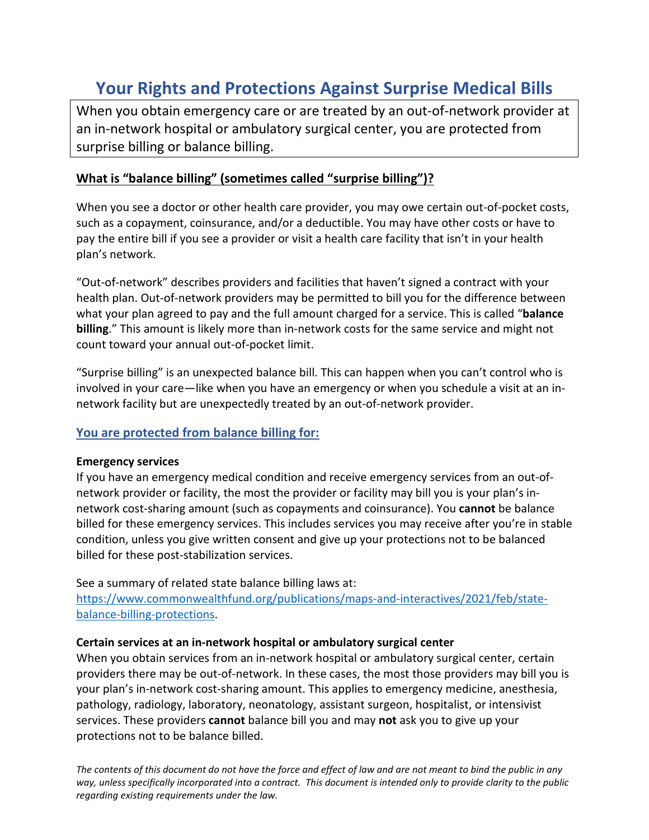# **Your Rights and Protections Against Surprise Medical Bills**

When you obtain emergency care or are treated by an out-of-network provider at an in-network hospital or ambulatory surgical center, you are protected from surprise billing or balance billing.

# **What is "balance billing" (sometimes called "surprise billing")?**

When you see a doctor or other health care provider, you may owe certain out-of-pocket costs, such as a copayment, coinsurance, and/or a deductible. You may have other costs or have to pay the entire bill if you see a provider or visit a health care facility that isn't in your health plan's network.

"Out-of-network" describes providers and facilities that haven't signed a contract with your health plan. Out-of-network providers may be permitted to bill you for the difference between what your plan agreed to pay and the full amount charged for a service. This is called "**balance billing**." This amount is likely more than in-network costs for the same service and might not count toward your annual out-of-pocket limit.

"Surprise billing" is an unexpected balance bill. This can happen when you can't control who is involved in your care—like when you have an emergency or when you schedule a visit at an innetwork facility but are unexpectedly treated by an out-of-network provider.

# **You are protected from balance billing for:**

# **Emergency services**

If you have an emergency medical condition and receive emergency services from an out-ofnetwork provider or facility, the most the provider or facility may bill you is your plan's innetwork cost-sharing amount (such as copayments and coinsurance). You **cannot** be balance billed for these emergency services. This includes services you may receive after you're in stable condition, unless you give written consent and give up your protections not to be balanced billed for these post-stabilization services.

See a summary of related state balance billing laws at:

[https://www.commonwealthfund.org/publications/maps-and-interactives/2021/feb/state](https://www.commonwealthfund.org/publications/maps-and-interactives/2021/feb/state-balance-billing-protections)[balance-billing-protections.](https://www.commonwealthfund.org/publications/maps-and-interactives/2021/feb/state-balance-billing-protections)

# **Certain services at an in-network hospital or ambulatory surgical center**

When you obtain services from an in-network hospital or ambulatory surgical center, certain providers there may be out-of-network. In these cases, the most those providers may bill you is your plan's in-network cost-sharing amount. This applies to emergency medicine, anesthesia, pathology, radiology, laboratory, neonatology, assistant surgeon, hospitalist, or intensivist services. These providers **cannot** balance bill you and may **not** ask you to give up your protections not to be balance billed.

*The contents of this document do not have the force and effect of law and are not meant to bind the public in any way, unless specifically incorporated into a contract. This document is intended only to provide clarity to the public regarding existing requirements under the law.*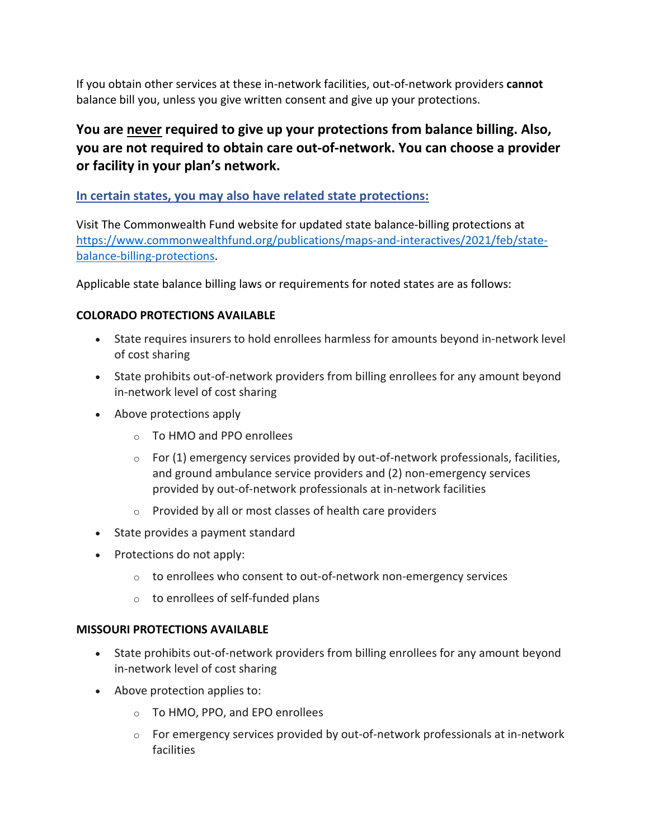If you obtain other services at these in-network facilities, out-of-network providers **cannot**  balance bill you, unless you give written consent and give up your protections.

# **You are never required to give up your protections from balance billing. Also, you are not required to obtain care out-of-network. You can choose a provider or facility in your plan's network.**

# **In certain states, you may also have related state protections:**

Visit The Commonwealth Fund website for updated state balance-billing protections at [https://www.commonwealthfund.org/publications/maps-and-interactives/2021/feb/state](https://www.commonwealthfund.org/publications/maps-and-interactives/2021/feb/state-balance-billing-protections)[balance-billing-protections.](https://www.commonwealthfund.org/publications/maps-and-interactives/2021/feb/state-balance-billing-protections)

Applicable state balance billing laws or requirements for noted states are as follows:

# **COLORADO PROTECTIONS AVAILABLE**

- State requires insurers to hold enrollees harmless for amounts beyond in-network level of cost sharing
- State prohibits out-of-network providers from billing enrollees for any amount beyond in-network level of cost sharing
- Above protections apply
	- o To HMO and PPO enrollees
	- $\circ$  For (1) emergency services provided by out-of-network professionals, facilities, and ground ambulance service providers and (2) non-emergency services provided by out-of-network professionals at in-network facilities
	- o Provided by all or most classes of health care providers
- State provides a payment standard
- Protections do not apply:
	- o to enrollees who consent to out-of-network non-emergency services
	- $\circ$  to enrollees of self-funded plans

# **MISSOURI PROTECTIONS AVAILABLE**

- State prohibits out-of-network providers from billing enrollees for any amount beyond in-network level of cost sharing
- Above protection applies to:
	- o To HMO, PPO, and EPO enrollees
	- o For emergency services provided by out-of-network professionals at in-network facilities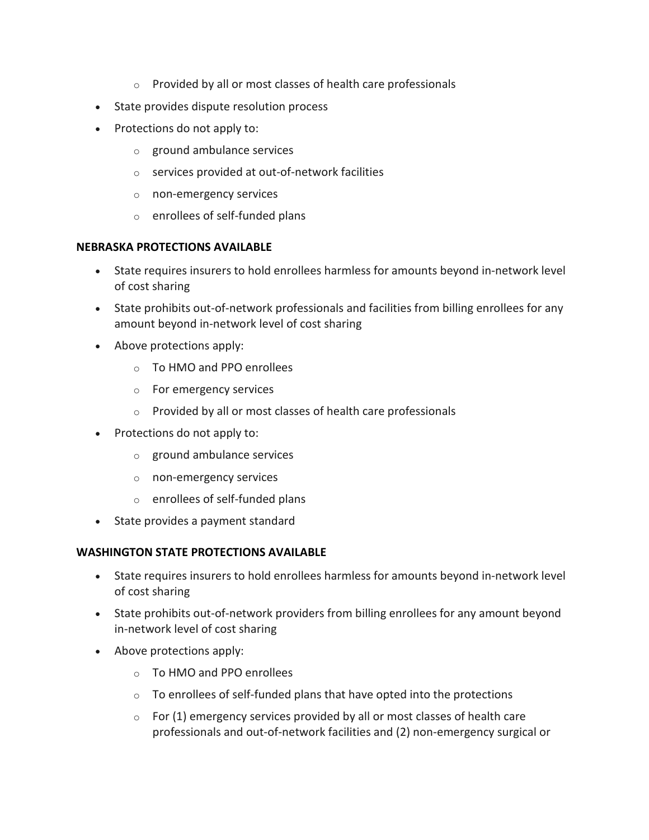- o Provided by all or most classes of health care professionals
- State provides dispute resolution process
- Protections do not apply to:
	- o ground ambulance services
	- o services provided at out-of-network facilities
	- o non-emergency services
	- o enrollees of self-funded plans

#### **NEBRASKA PROTECTIONS AVAILABLE**

- State requires insurers to hold enrollees harmless for amounts beyond in-network level of cost sharing
- State prohibits out-of-network professionals and facilities from billing enrollees for any amount beyond in-network level of cost sharing
- Above protections apply:
	- o To HMO and PPO enrollees
	- o For emergency services
	- o Provided by all or most classes of health care professionals
- Protections do not apply to:
	- o ground ambulance services
	- o non-emergency services
	- o enrollees of self-funded plans
- State provides a payment standard

#### **WASHINGTON STATE PROTECTIONS AVAILABLE**

- State requires insurers to hold enrollees harmless for amounts beyond in-network level of cost sharing
- State prohibits out-of-network providers from billing enrollees for any amount beyond in-network level of cost sharing
- Above protections apply:
	- o To HMO and PPO enrollees
	- o To enrollees of self-funded plans that have opted into the protections
	- $\circ$  For (1) emergency services provided by all or most classes of health care professionals and out-of-network facilities and (2) non-emergency surgical or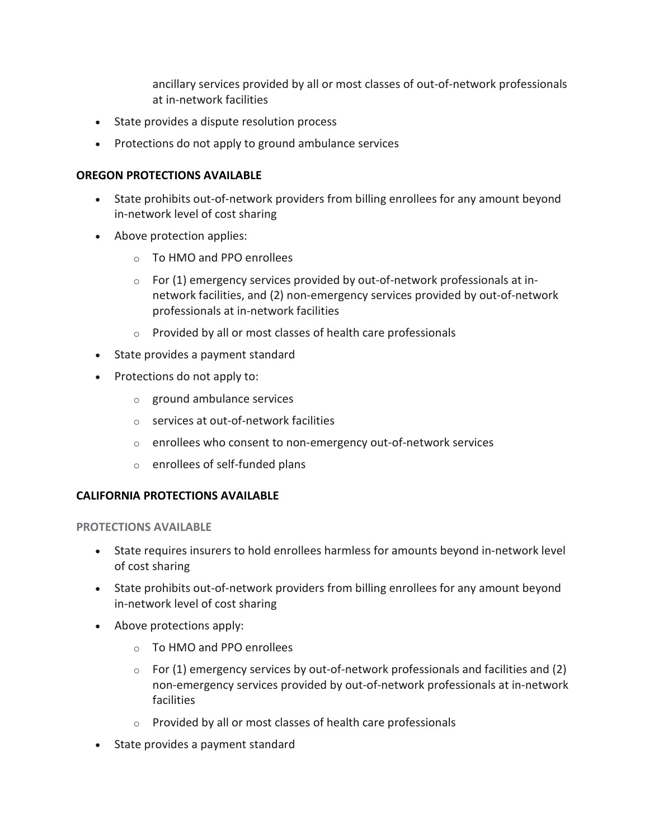ancillary services provided by all or most classes of out-of-network professionals at in-network facilities

- State provides a dispute resolution process
- Protections do not apply to ground ambulance services

#### **OREGON PROTECTIONS AVAILABLE**

- State prohibits out-of-network providers from billing enrollees for any amount beyond in-network level of cost sharing
- Above protection applies:
	- o To HMO and PPO enrollees
	- $\circ$  For (1) emergency services provided by out-of-network professionals at innetwork facilities, and (2) non-emergency services provided by out-of-network professionals at in-network facilities
	- o Provided by all or most classes of health care professionals
- State provides a payment standard
- Protections do not apply to:
	- o ground ambulance services
	- o services at out-of-network facilities
	- o enrollees who consent to non-emergency out-of-network services
	- o enrollees of self-funded plans

#### **CALIFORNIA PROTECTIONS AVAILABLE**

#### **PROTECTIONS AVAILABLE**

- State requires insurers to hold enrollees harmless for amounts beyond in-network level of cost sharing
- State prohibits out-of-network providers from billing enrollees for any amount beyond in-network level of cost sharing
- Above protections apply:
	- o To HMO and PPO enrollees
	- $\circ$  For (1) emergency services by out-of-network professionals and facilities and (2) non-emergency services provided by out-of-network professionals at in-network facilities
	- o Provided by all or most classes of health care professionals
- State provides a payment standard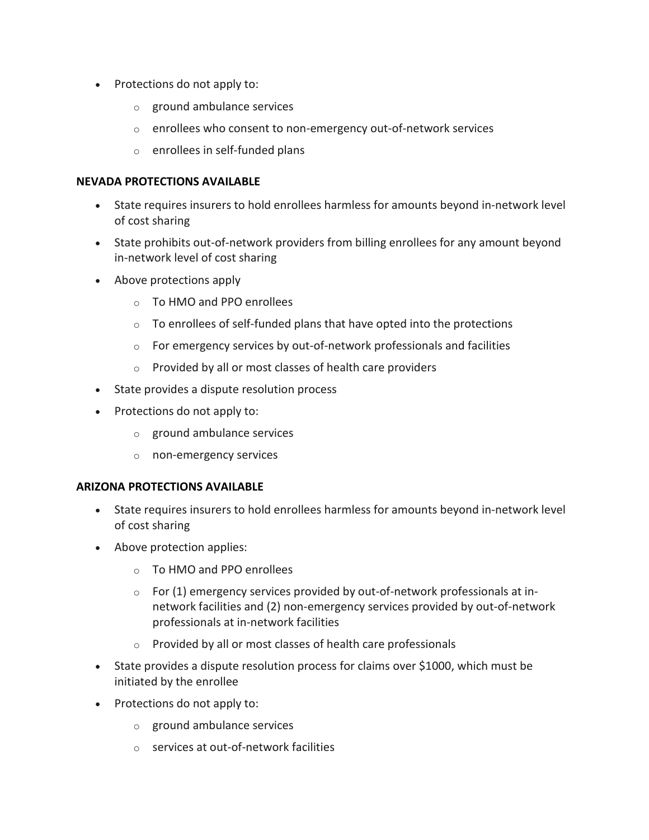- Protections do not apply to:
	- o ground ambulance services
	- o enrollees who consent to non-emergency out-of-network services
	- o enrollees in self-funded plans

#### **NEVADA PROTECTIONS AVAILABLE**

- State requires insurers to hold enrollees harmless for amounts beyond in-network level of cost sharing
- State prohibits out-of-network providers from billing enrollees for any amount beyond in-network level of cost sharing
- Above protections apply
	- o To HMO and PPO enrollees
	- $\circ$  To enrollees of self-funded plans that have opted into the protections
	- o For emergency services by out-of-network professionals and facilities
	- o Provided by all or most classes of health care providers
- State provides a dispute resolution process
- Protections do not apply to:
	- o ground ambulance services
	- o non-emergency services

#### **ARIZONA PROTECTIONS AVAILABLE**

- State requires insurers to hold enrollees harmless for amounts beyond in-network level of cost sharing
- Above protection applies:
	- o To HMO and PPO enrollees
	- $\circ$  For (1) emergency services provided by out-of-network professionals at innetwork facilities and (2) non-emergency services provided by out-of-network professionals at in-network facilities
	- o Provided by all or most classes of health care professionals
- State provides a dispute resolution process for claims over \$1000, which must be initiated by the enrollee
- Protections do not apply to:
	- o ground ambulance services
	- o services at out-of-network facilities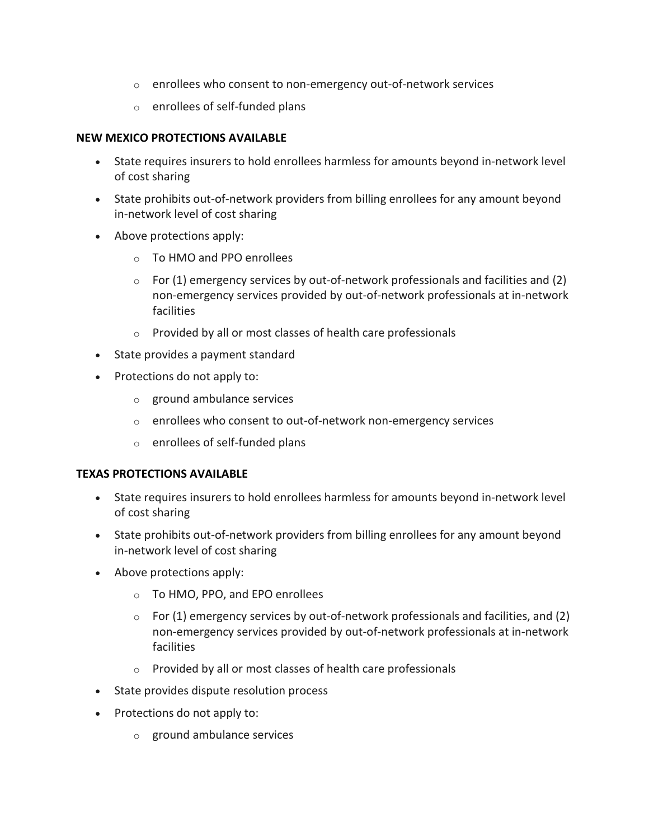- o enrollees who consent to non-emergency out-of-network services
- o enrollees of self-funded plans

# **NEW MEXICO PROTECTIONS AVAILABLE**

- State requires insurers to hold enrollees harmless for amounts beyond in-network level of cost sharing
- State prohibits out-of-network providers from billing enrollees for any amount beyond in-network level of cost sharing
- Above protections apply:
	- o To HMO and PPO enrollees
	- $\circ$  For (1) emergency services by out-of-network professionals and facilities and (2) non-emergency services provided by out-of-network professionals at in-network facilities
	- o Provided by all or most classes of health care professionals
- State provides a payment standard
- Protections do not apply to:
	- o ground ambulance services
	- o enrollees who consent to out-of-network non-emergency services
	- o enrollees of self-funded plans

# **TEXAS PROTECTIONS AVAILABLE**

- State requires insurers to hold enrollees harmless for amounts beyond in-network level of cost sharing
- State prohibits out-of-network providers from billing enrollees for any amount beyond in-network level of cost sharing
- Above protections apply:
	- o To HMO, PPO, and EPO enrollees
	- $\circ$  For (1) emergency services by out-of-network professionals and facilities, and (2) non-emergency services provided by out-of-network professionals at in-network facilities
	- o Provided by all or most classes of health care professionals
- State provides dispute resolution process
- Protections do not apply to:
	- o ground ambulance services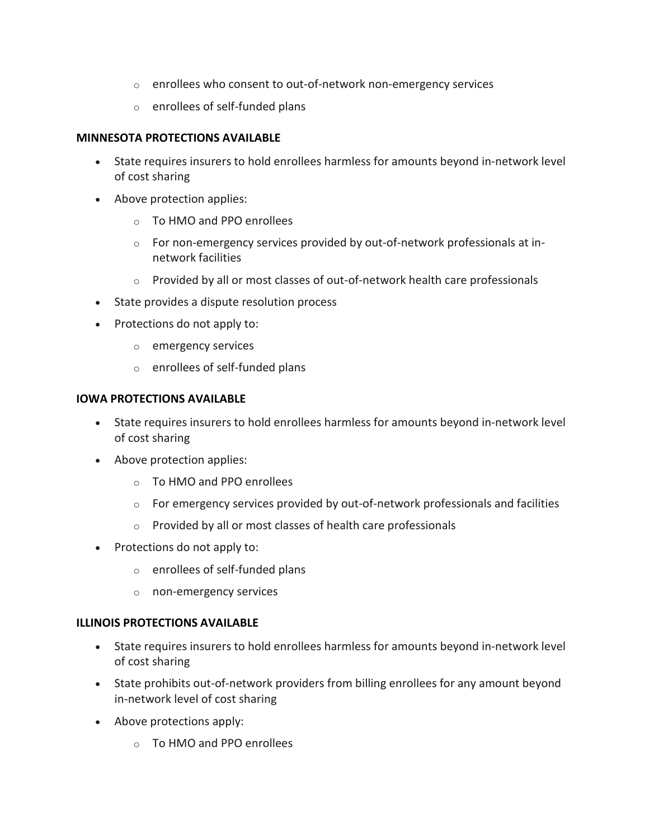- o enrollees who consent to out-of-network non-emergency services
- o enrollees of self-funded plans

#### **MINNESOTA PROTECTIONS AVAILABLE**

- State requires insurers to hold enrollees harmless for amounts beyond in-network level of cost sharing
- Above protection applies:
	- o To HMO and PPO enrollees
	- o For non-emergency services provided by out-of-network professionals at innetwork facilities
	- o Provided by all or most classes of out-of-network health care professionals
- State provides a dispute resolution process
- Protections do not apply to:
	- o emergency services
	- o enrollees of self-funded plans

# **IOWA PROTECTIONS AVAILABLE**

- State requires insurers to hold enrollees harmless for amounts beyond in-network level of cost sharing
- Above protection applies:
	- o To HMO and PPO enrollees
	- $\circ$  For emergency services provided by out-of-network professionals and facilities
	- o Provided by all or most classes of health care professionals
- Protections do not apply to:
	- o enrollees of self-funded plans
	- o non-emergency services

# **ILLINOIS PROTECTIONS AVAILABLE**

- State requires insurers to hold enrollees harmless for amounts beyond in-network level of cost sharing
- State prohibits out-of-network providers from billing enrollees for any amount beyond in-network level of cost sharing
- Above protections apply:
	- o To HMO and PPO enrollees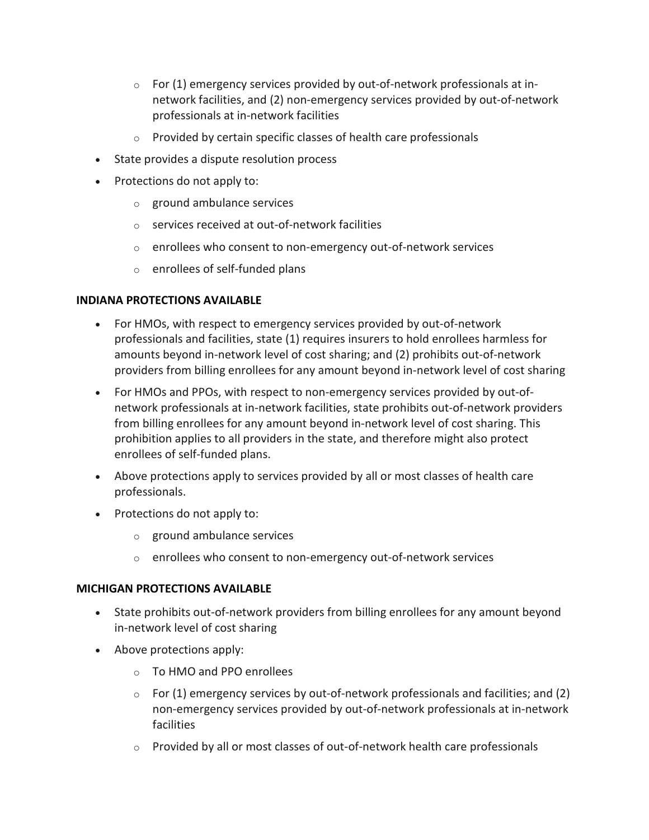- $\circ$  For (1) emergency services provided by out-of-network professionals at innetwork facilities, and (2) non-emergency services provided by out-of-network professionals at in-network facilities
- o Provided by certain specific classes of health care professionals
- State provides a dispute resolution process
- Protections do not apply to:
	- o ground ambulance services
	- o services received at out-of-network facilities
	- o enrollees who consent to non-emergency out-of-network services
	- o enrollees of self-funded plans

# **INDIANA PROTECTIONS AVAILABLE**

- For HMOs, with respect to emergency services provided by out-of-network professionals and facilities, state (1) requires insurers to hold enrollees harmless for amounts beyond in-network level of cost sharing; and (2) prohibits out-of-network providers from billing enrollees for any amount beyond in-network level of cost sharing
- For HMOs and PPOs, with respect to non-emergency services provided by out-ofnetwork professionals at in-network facilities, state prohibits out-of-network providers from billing enrollees for any amount beyond in-network level of cost sharing. This prohibition applies to all providers in the state, and therefore might also protect enrollees of self-funded plans.
- Above protections apply to services provided by all or most classes of health care professionals.
- Protections do not apply to:
	- o ground ambulance services
	- o enrollees who consent to non-emergency out-of-network services

#### **MICHIGAN PROTECTIONS AVAILABLE**

- State prohibits out-of-network providers from billing enrollees for any amount beyond in-network level of cost sharing
- Above protections apply:
	- o To HMO and PPO enrollees
	- $\circ$  For (1) emergency services by out-of-network professionals and facilities; and (2) non-emergency services provided by out-of-network professionals at in-network facilities
	- $\circ$  Provided by all or most classes of out-of-network health care professionals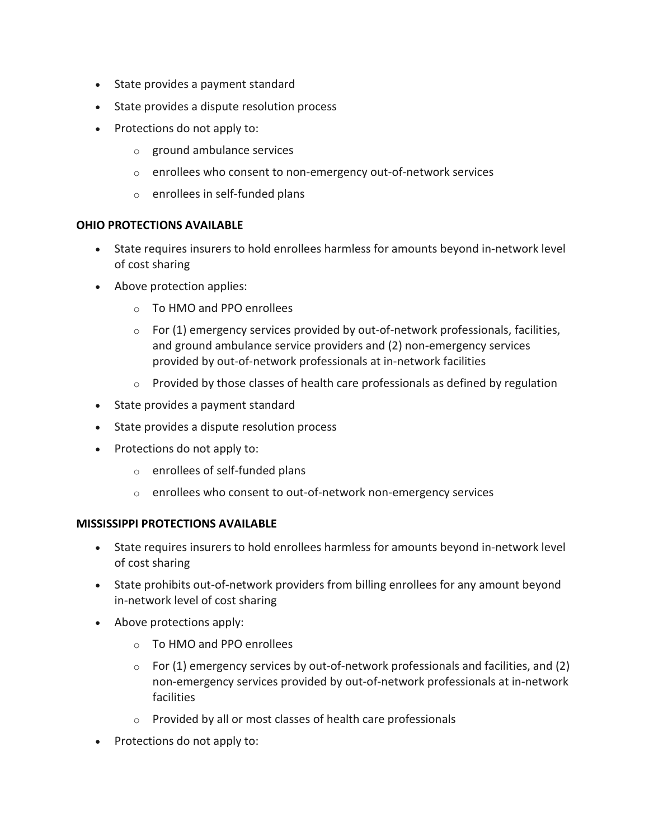- State provides a payment standard
- State provides a dispute resolution process
- Protections do not apply to:
	- o ground ambulance services
	- o enrollees who consent to non-emergency out-of-network services
	- o enrollees in self-funded plans

#### **OHIO PROTECTIONS AVAILABLE**

- State requires insurers to hold enrollees harmless for amounts beyond in-network level of cost sharing
- Above protection applies:
	- o To HMO and PPO enrollees
	- $\circ$  For (1) emergency services provided by out-of-network professionals, facilities, and ground ambulance service providers and (2) non-emergency services provided by out-of-network professionals at in-network facilities
	- $\circ$  Provided by those classes of health care professionals as defined by regulation
- State provides a payment standard
- State provides a dispute resolution process
- Protections do not apply to:
	- o enrollees of self-funded plans
	- o enrollees who consent to out-of-network non-emergency services

#### **MISSISSIPPI PROTECTIONS AVAILABLE**

- State requires insurers to hold enrollees harmless for amounts beyond in-network level of cost sharing
- State prohibits out-of-network providers from billing enrollees for any amount beyond in-network level of cost sharing
- Above protections apply:
	- o To HMO and PPO enrollees
	- $\circ$  For (1) emergency services by out-of-network professionals and facilities, and (2) non-emergency services provided by out-of-network professionals at in-network facilities
	- o Provided by all or most classes of health care professionals
- Protections do not apply to: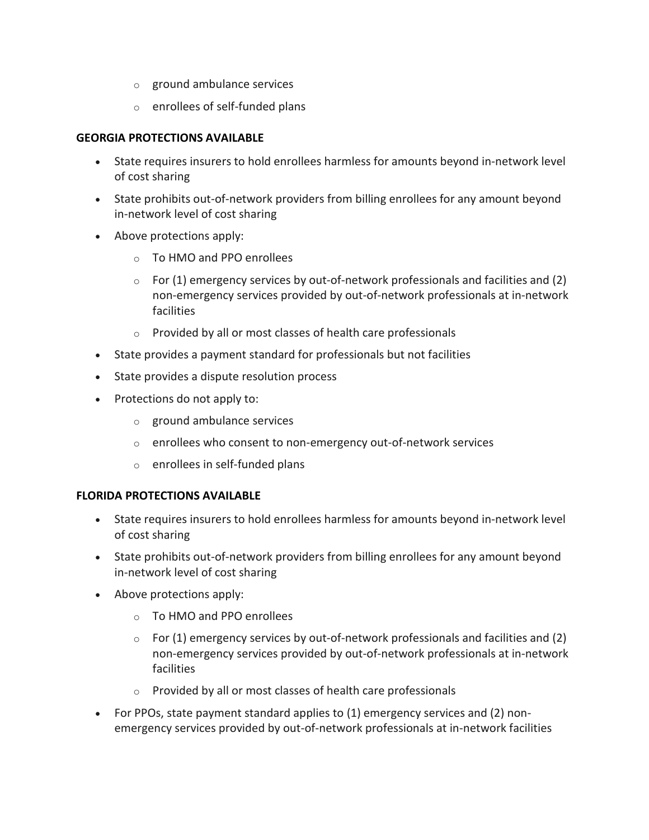- o ground ambulance services
- o enrollees of self-funded plans

#### **GEORGIA PROTECTIONS AVAILABLE**

- State requires insurers to hold enrollees harmless for amounts beyond in-network level of cost sharing
- State prohibits out-of-network providers from billing enrollees for any amount beyond in-network level of cost sharing
- Above protections apply:
	- o To HMO and PPO enrollees
	- $\circ$  For (1) emergency services by out-of-network professionals and facilities and (2) non-emergency services provided by out-of-network professionals at in-network facilities
	- o Provided by all or most classes of health care professionals
- State provides a payment standard for professionals but not facilities
- State provides a dispute resolution process
- Protections do not apply to:
	- o ground ambulance services
	- o enrollees who consent to non-emergency out-of-network services
	- o enrollees in self-funded plans

#### **FLORIDA PROTECTIONS AVAILABLE**

- State requires insurers to hold enrollees harmless for amounts beyond in-network level of cost sharing
- State prohibits out-of-network providers from billing enrollees for any amount beyond in-network level of cost sharing
- Above protections apply:
	- o To HMO and PPO enrollees
	- $\circ$  For (1) emergency services by out-of-network professionals and facilities and (2) non-emergency services provided by out-of-network professionals at in-network facilities
	- o Provided by all or most classes of health care professionals
- For PPOs, state payment standard applies to (1) emergency services and (2) nonemergency services provided by out-of-network professionals at in-network facilities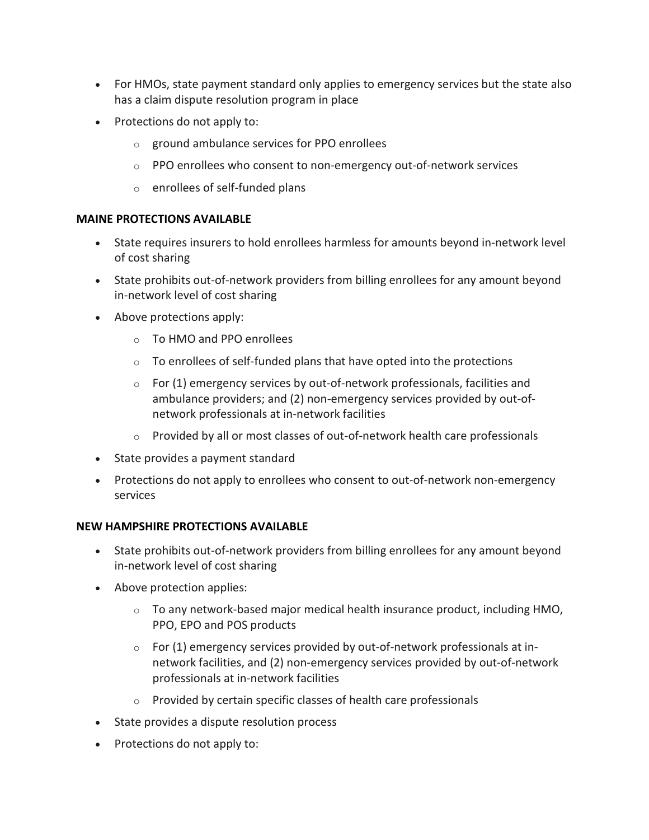- For HMOs, state payment standard only applies to emergency services but the state also has a claim dispute resolution program in place
- Protections do not apply to:
	- o ground ambulance services for PPO enrollees
	- $\circ$  PPO enrollees who consent to non-emergency out-of-network services
	- o enrollees of self-funded plans

# **MAINE PROTECTIONS AVAILABLE**

- State requires insurers to hold enrollees harmless for amounts beyond in-network level of cost sharing
- State prohibits out-of-network providers from billing enrollees for any amount beyond in-network level of cost sharing
- Above protections apply:
	- o To HMO and PPO enrollees
	- o To enrollees of self-funded plans that have opted into the protections
	- $\circ$  For (1) emergency services by out-of-network professionals, facilities and ambulance providers; and (2) non-emergency services provided by out-ofnetwork professionals at in-network facilities
	- $\circ$  Provided by all or most classes of out-of-network health care professionals
- State provides a payment standard
- Protections do not apply to enrollees who consent to out-of-network non-emergency services

#### **NEW HAMPSHIRE PROTECTIONS AVAILABLE**

- State prohibits out-of-network providers from billing enrollees for any amount beyond in-network level of cost sharing
- Above protection applies:
	- $\circ$  To any network-based major medical health insurance product, including HMO, PPO, EPO and POS products
	- $\circ$  For (1) emergency services provided by out-of-network professionals at innetwork facilities, and (2) non-emergency services provided by out-of-network professionals at in-network facilities
	- o Provided by certain specific classes of health care professionals
- State provides a dispute resolution process
- Protections do not apply to: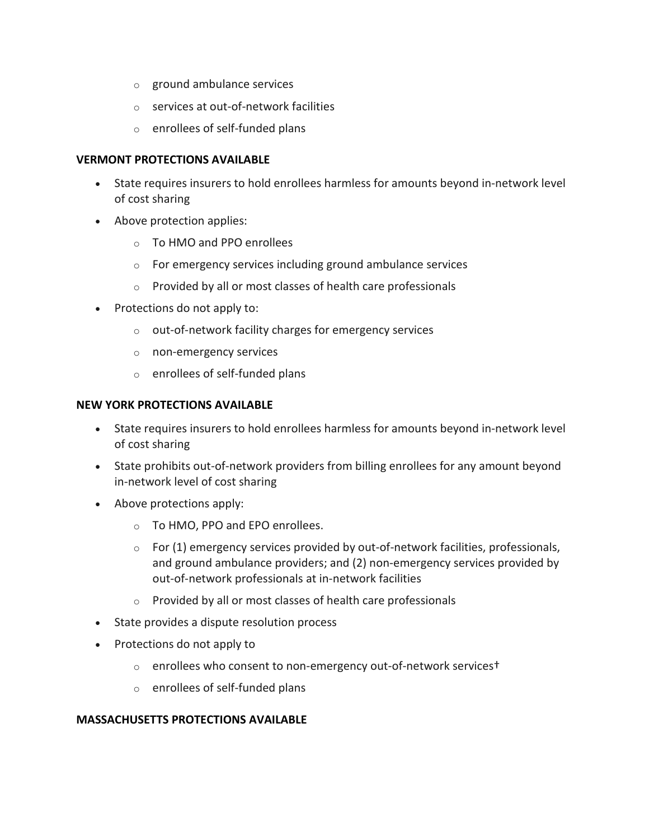- o ground ambulance services
- o services at out-of-network facilities
- o enrollees of self-funded plans

#### **VERMONT PROTECTIONS AVAILABLE**

- State requires insurers to hold enrollees harmless for amounts beyond in-network level of cost sharing
- Above protection applies:
	- o To HMO and PPO enrollees
	- o For emergency services including ground ambulance services
	- o Provided by all or most classes of health care professionals
- Protections do not apply to:
	- o out-of-network facility charges for emergency services
	- o non-emergency services
	- o enrollees of self-funded plans

#### **NEW YORK PROTECTIONS AVAILABLE**

- State requires insurers to hold enrollees harmless for amounts beyond in-network level of cost sharing
- State prohibits out-of-network providers from billing enrollees for any amount beyond in-network level of cost sharing
- Above protections apply:
	- o To HMO, PPO and EPO enrollees.
	- $\circ$  For (1) emergency services provided by out-of-network facilities, professionals, and ground ambulance providers; and (2) non-emergency services provided by out-of-network professionals at in-network facilities
	- o Provided by all or most classes of health care professionals
- State provides a dispute resolution process
- Protections do not apply to
	- o enrollees who consent to non-emergency out-of-network services†
	- o enrollees of self-funded plans

#### **MASSACHUSETTS PROTECTIONS AVAILABLE**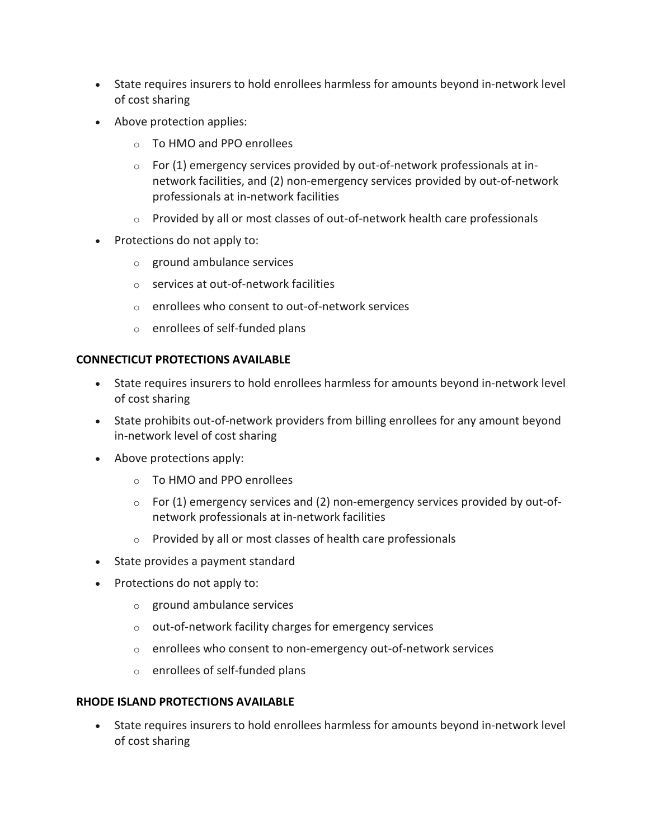- State requires insurers to hold enrollees harmless for amounts beyond in-network level of cost sharing
- Above protection applies:
	- o To HMO and PPO enrollees
	- $\circ$  For (1) emergency services provided by out-of-network professionals at innetwork facilities, and (2) non-emergency services provided by out-of-network professionals at in-network facilities
	- $\circ$  Provided by all or most classes of out-of-network health care professionals
- Protections do not apply to:
	- o ground ambulance services
	- o services at out-of-network facilities
	- o enrollees who consent to out-of-network services
	- o enrollees of self-funded plans

#### **CONNECTICUT PROTECTIONS AVAILABLE**

- State requires insurers to hold enrollees harmless for amounts beyond in-network level of cost sharing
- State prohibits out-of-network providers from billing enrollees for any amount beyond in-network level of cost sharing
- Above protections apply:
	- o To HMO and PPO enrollees
	- $\circ$  For (1) emergency services and (2) non-emergency services provided by out-ofnetwork professionals at in-network facilities
	- o Provided by all or most classes of health care professionals
- State provides a payment standard
- Protections do not apply to:
	- o ground ambulance services
	- o out-of-network facility charges for emergency services
	- o enrollees who consent to non-emergency out-of-network services
	- o enrollees of self-funded plans

#### **RHODE ISLAND PROTECTIONS AVAILABLE**

• State requires insurers to hold enrollees harmless for amounts beyond in-network level of cost sharing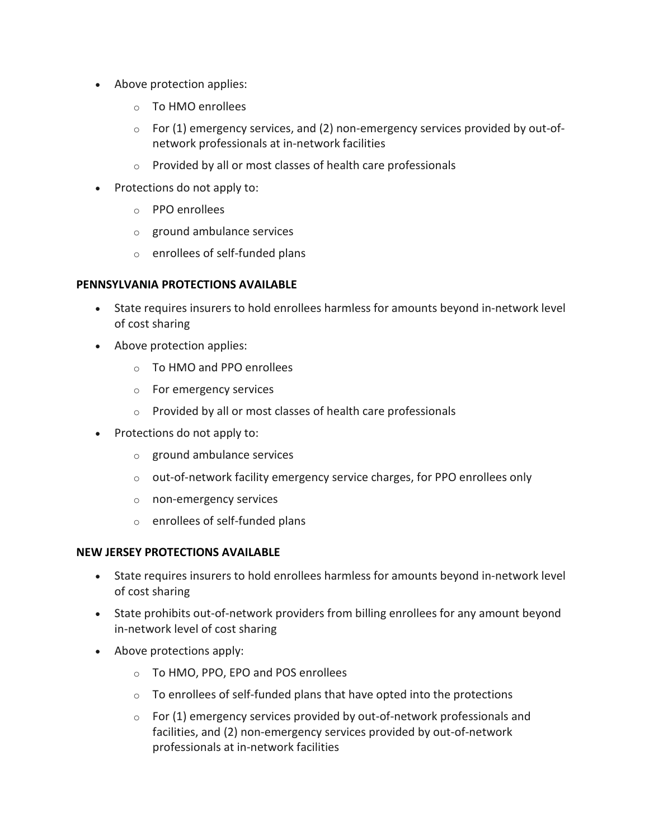- Above protection applies:
	- o To HMO enrollees
	- $\circ$  For (1) emergency services, and (2) non-emergency services provided by out-ofnetwork professionals at in-network facilities
	- o Provided by all or most classes of health care professionals
- Protections do not apply to:
	- o PPO enrollees
	- o ground ambulance services
	- o enrollees of self-funded plans

#### **PENNSYLVANIA PROTECTIONS AVAILABLE**

- State requires insurers to hold enrollees harmless for amounts beyond in-network level of cost sharing
- Above protection applies:
	- o To HMO and PPO enrollees
	- o For emergency services
	- o Provided by all or most classes of health care professionals
- Protections do not apply to:
	- o ground ambulance services
	- $\circ$  out-of-network facility emergency service charges, for PPO enrollees only
	- o non-emergency services
	- o enrollees of self-funded plans

#### **NEW JERSEY PROTECTIONS AVAILABLE**

- State requires insurers to hold enrollees harmless for amounts beyond in-network level of cost sharing
- State prohibits out-of-network providers from billing enrollees for any amount beyond in-network level of cost sharing
- Above protections apply:
	- o To HMO, PPO, EPO and POS enrollees
	- o To enrollees of self-funded plans that have opted into the protections
	- $\circ$  For (1) emergency services provided by out-of-network professionals and facilities, and (2) non-emergency services provided by out-of-network professionals at in-network facilities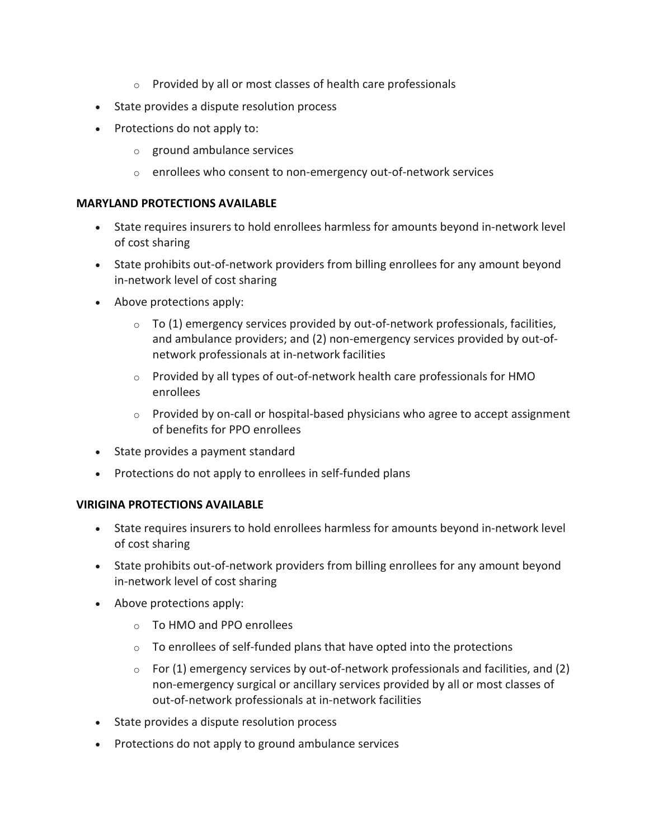- o Provided by all or most classes of health care professionals
- State provides a dispute resolution process
- Protections do not apply to:
	- o ground ambulance services
	- o enrollees who consent to non-emergency out-of-network services

#### **MARYLAND PROTECTIONS AVAILABLE**

- State requires insurers to hold enrollees harmless for amounts beyond in-network level of cost sharing
- State prohibits out-of-network providers from billing enrollees for any amount beyond in-network level of cost sharing
- Above protections apply:
	- $\circ$  To (1) emergency services provided by out-of-network professionals, facilities, and ambulance providers; and (2) non-emergency services provided by out-ofnetwork professionals at in-network facilities
	- $\circ$  Provided by all types of out-of-network health care professionals for HMO enrollees
	- o Provided by on-call or hospital-based physicians who agree to accept assignment of benefits for PPO enrollees
- State provides a payment standard
- Protections do not apply to enrollees in self-funded plans

#### **VIRIGINA PROTECTIONS AVAILABLE**

- State requires insurers to hold enrollees harmless for amounts beyond in-network level of cost sharing
- State prohibits out-of-network providers from billing enrollees for any amount beyond in-network level of cost sharing
- Above protections apply:
	- o To HMO and PPO enrollees
	- o To enrollees of self-funded plans that have opted into the protections
	- $\circ$  For (1) emergency services by out-of-network professionals and facilities, and (2) non-emergency surgical or ancillary services provided by all or most classes of out-of-network professionals at in-network facilities
- State provides a dispute resolution process
- Protections do not apply to ground ambulance services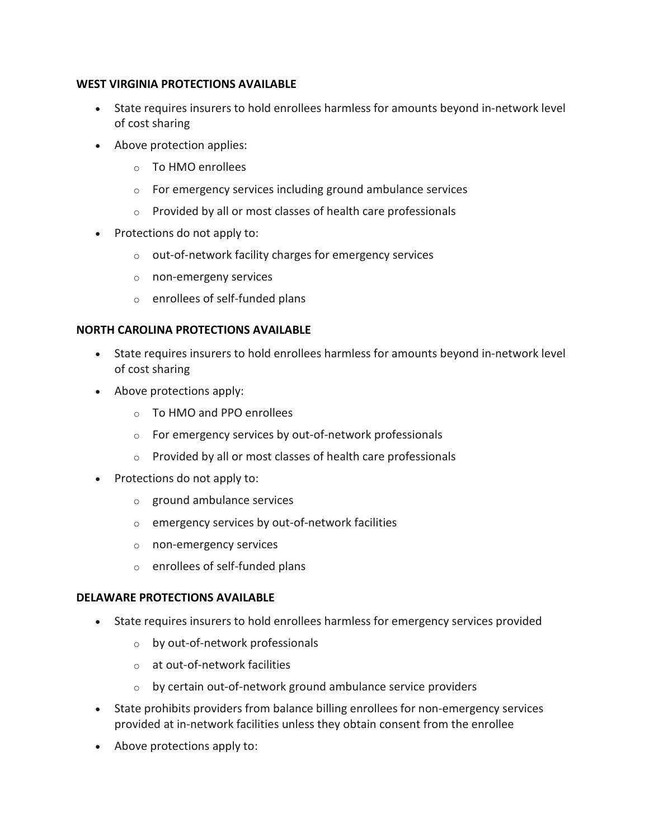#### **WEST VIRGINIA PROTECTIONS AVAILABLE**

- State requires insurers to hold enrollees harmless for amounts beyond in-network level of cost sharing
- Above protection applies:
	- o To HMO enrollees
	- o For emergency services including ground ambulance services
	- o Provided by all or most classes of health care professionals
- Protections do not apply to:
	- o out-of-network facility charges for emergency services
	- o non-emergeny services
	- o enrollees of self-funded plans

# **NORTH CAROLINA PROTECTIONS AVAILABLE**

- State requires insurers to hold enrollees harmless for amounts beyond in-network level of cost sharing
- Above protections apply:
	- o To HMO and PPO enrollees
	- o For emergency services by out-of-network professionals
	- o Provided by all or most classes of health care professionals
- Protections do not apply to:
	- o ground ambulance services
	- $\circ$  emergency services by out-of-network facilities
	- o non-emergency services
	- o enrollees of self-funded plans

#### **DELAWARE PROTECTIONS AVAILABLE**

- State requires insurers to hold enrollees harmless for emergency services provided
	- o by out-of-network professionals
	- o at out-of-network facilities
	- $\circ$  by certain out-of-network ground ambulance service providers
- State prohibits providers from balance billing enrollees for non-emergency services provided at in-network facilities unless they obtain consent from the enrollee
- Above protections apply to: